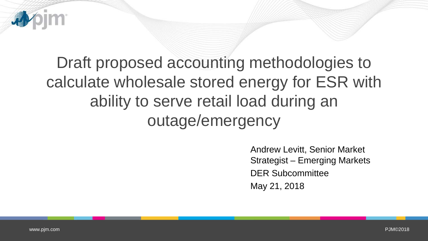

# Draft proposed accounting methodologies to calculate wholesale stored energy for ESR with ability to serve retail load during an outage/emergency

Andrew Levitt, Senior Market Strategist – Emerging Markets DER Subcommittee May 21, 2018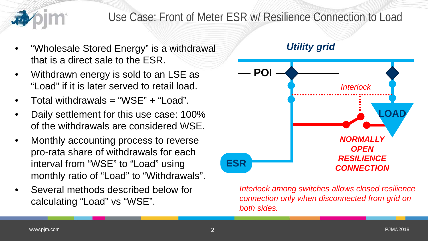

### Use Case: Front of Meter ESR w/ Resilience Connection to Load

- "Wholesale Stored Energy" is a withdrawal that is a direct sale to the ESR.
- Withdrawn energy is sold to an LSE as "Load" if it is later served to retail load.
- Total withdrawals = "WSE" + "Load".
- Daily settlement for this use case: 100% of the withdrawals are considered WSE.
- Monthly accounting process to reverse pro-rata share of withdrawals for each interval from "WSE" to "Load" using monthly ratio of "Load" to "Withdrawals".
- Several methods described below for calculating "Load" vs "WSE".



*Interlock among switches allows closed resilience connection only when disconnected from grid on both sides.*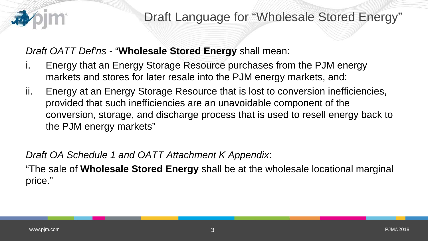

*Draft OATT Def'ns -* "**Wholesale Stored Energy** shall mean:

- i. Energy that an Energy Storage Resource purchases from the PJM energy markets and stores for later resale into the PJM energy markets, and:
- ii. Energy at an Energy Storage Resource that is lost to conversion inefficiencies, provided that such inefficiencies are an unavoidable component of the conversion, storage, and discharge process that is used to resell energy back to the PJM energy markets"

*Draft OA Schedule 1 and OATT Attachment K Appendix*:

"The sale of **Wholesale Stored Energy** shall be at the wholesale locational marginal price."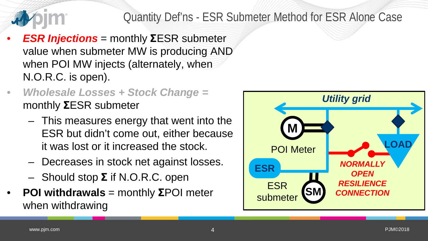

## Quantity Def'ns - ESR Submeter Method for ESR Alone Case

- *ESR Injections* = monthly **Σ**ESR submeter value when submeter MW is producing AND when POI MW injects (alternately, when N.O.R.C. is open).
- *Wholesale Losses + Stock Change =*  monthly **Σ**ESR submeter
	- This measures energy that went into the ESR but didn't come out, either because it was lost or it increased the stock.
	- Decreases in stock net against losses.
	- Should stop **Σ** if N.O.R.C. open
- **POI withdrawals** = monthly **Σ**POI meter when withdrawing

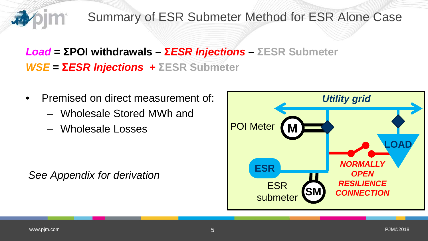

## Summary of ESR Submeter Method for ESR Alone Case

## *Load* **= ΣPOI withdrawals – Σ***ESR Injections –* **ΣESR Submeter** *WSE* **= Σ***ESR Injections +* **ΣESR Submeter**

- Premised on direct measurement of:
	- Wholesale Stored MWh and
	- Wholesale Losses

*See Appendix for derivation*

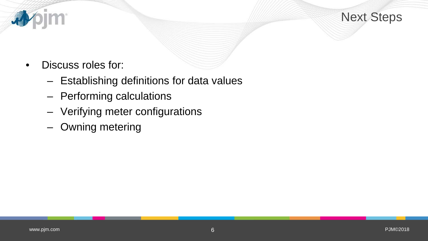

• Discuss roles for:

**pim** 

、

- Establishing definitions for data values
- Performing calculations
- Verifying meter configurations
- Owning metering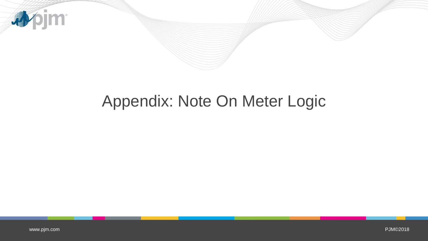

## Appendix: Note On Meter Logic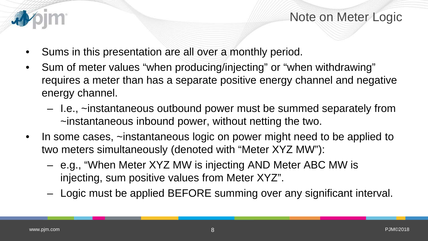

Note on Meter Logic

- Sums in this presentation are all over a monthly period.
- Sum of meter values "when producing/injecting" or "when withdrawing" requires a meter than has a separate positive energy channel and negative energy channel.
	- I.e., ~instantaneous outbound power must be summed separately from ~instantaneous inbound power, without netting the two.
- In some cases, ~instantaneous logic on power might need to be applied to two meters simultaneously (denoted with "Meter XYZ MW"):
	- e.g., "When Meter XYZ MW is injecting AND Meter ABC MW is injecting, sum positive values from Meter XYZ".
	- Logic must be applied BEFORE summing over any significant interval.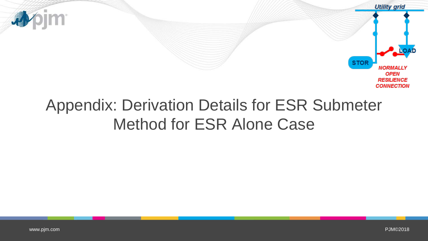

# Appendix: Derivation Details for ESR Submeter Method for ESR Alone Case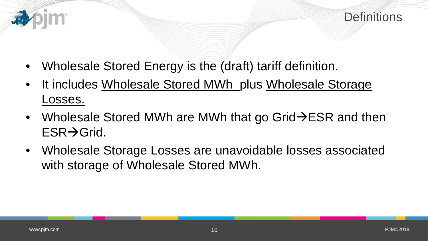

- Wholesale Stored Energy is the (draft) tariff definition.
- It includes Wholesale Stored MWh plus Wholesale Storage Losses.
- Wholesale Stored MWh are MWh that go Grid $\rightarrow$ ESR and then  $ESR \rightarrow Grid$ .
- Wholesale Storage Losses are unavoidable losses associated with storage of Wholesale Stored MWh.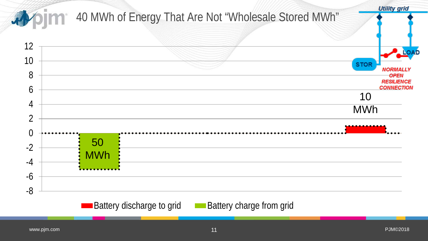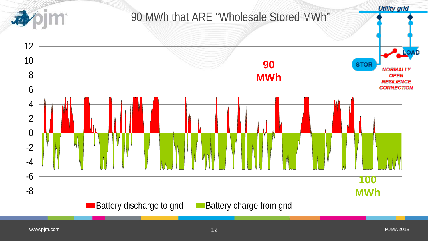

[www.pjm.com](http://www.pjm.com/)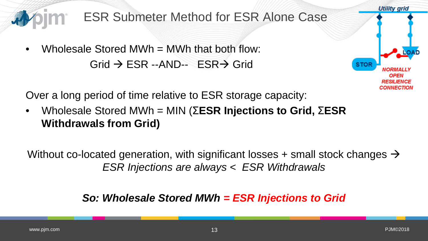

Over a long period of time relative to ESR storage capacity:

• Wholesale Stored MWh = MIN (Σ**ESR Injections to Grid,** Σ**ESR Withdrawals from Grid)**

Without co-located generation, with significant losses + small stock changes  $\rightarrow$ *ESR Injections are always < ESR Withdrawals*

### *So: Wholesale Stored MWh = ESR Injections to Grid*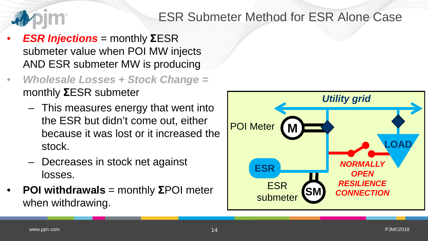

## ESR Submeter Method for ESR Alone Case

- *ESR Injections* = monthly **Σ**ESR submeter value when POI MW injects AND ESR submeter MW is producing
- *Wholesale Losses + Stock Change =*  monthly **Σ**ESR submeter
	- This measures energy that went into the ESR but didn't come out, either because it was lost or it increased the stock.
	- Decreases in stock net against losses.
- **POI withdrawals** = monthly **Σ**POI meter when withdrawing.

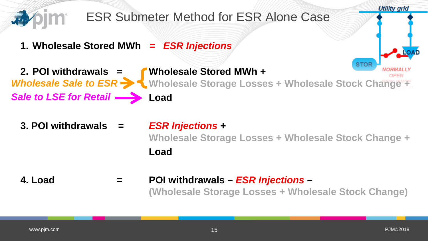

#### **4. Load = POI withdrawals –** *ESR Injections* **– (Wholesale Storage Losses + Wholesale Stock Change)**